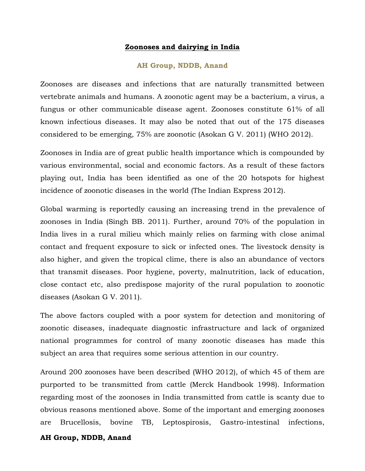### **Zoonoses and dairying in India**

### **AH Group, NDDB, Anand**

Zoonoses are diseases and infections that are naturally transmitted between vertebrate animals and humans. A zoonotic agent may be a bacterium, a virus, a fungus or other communicable disease agent. Zoonoses constitute 61% of all known infectious diseases. It may also be noted that out of the 175 diseases considered to be emerging, 75% are zoonotic (Asokan G V. 2011) (WHO 2012).

Zoonoses in India are of great public health importance which is compounded by various environmental, social and economic factors. As a result of these factors playing out, India has been identified as one of the 20 hotspots for highest incidence of zoonotic diseases in the world (The Indian Express 2012).

Global warming is reportedly causing an increasing trend in the prevalence of zoonoses in India (Singh BB. 2011). Further, around 70% of the population in India lives in a rural milieu which mainly relies on farming with close animal contact and frequent exposure to sick or infected ones. The livestock density is also higher, and given the tropical clime, there is also an abundance of vectors that transmit diseases. Poor hygiene, poverty, malnutrition, lack of education, close contact etc, also predispose majority of the rural population to zoonotic diseases (Asokan G V. 2011).

The above factors coupled with a poor system for detection and monitoring of zoonotic diseases, inadequate diagnostic infrastructure and lack of organized national programmes for control of many zoonotic diseases has made this subject an area that requires some serious attention in our country.

Around 200 zoonoses have been described (WHO 2012), of which 45 of them are purported to be transmitted from cattle (Merck Handbook 1998). Information regarding most of the zoonoses in India transmitted from cattle is scanty due to obvious reasons mentioned above. Some of the important and emerging zoonoses are Brucellosis, bovine TB, Leptospirosis, Gastro-intestinal infections,

#### **AH Group, NDDB, Anand**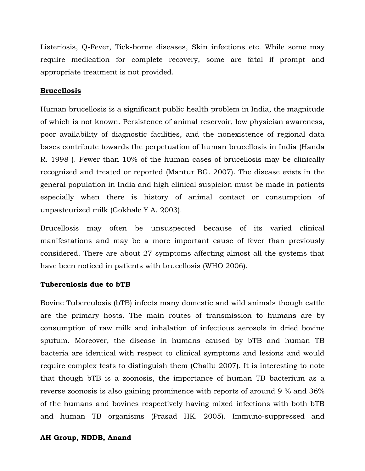Listeriosis, Q-Fever, Tick-borne diseases, Skin infections etc. While some may require medication for complete recovery, some are fatal if prompt and appropriate treatment is not provided.

### **Brucellosis**

Human brucellosis is a significant public health problem in India, the magnitude of which is not known. Persistence of animal reservoir, low physician awareness, poor availability of diagnostic facilities, and the nonexistence of regional data bases contribute towards the perpetuation of human brucellosis in India (Handa R. 1998 ). Fewer than 10% of the human cases of brucellosis may be clinically recognized and treated or reported (Mantur BG. 2007). The disease exists in the general population in India and high clinical suspicion must be made in patients especially when there is history of animal contact or consumption of unpasteurized milk (Gokhale Y A. 2003).

Brucellosis may often be unsuspected because of its varied clinical manifestations and may be a more important cause of fever than previously considered. There are about 27 symptoms affecting almost all the systems that have been noticed in patients with brucellosis (WHO 2006).

## **Tuberculosis due to bTB**

Bovine Tuberculosis (bTB) infects many domestic and wild animals though cattle are the primary hosts. The main routes of transmission to humans are by consumption of raw milk and inhalation of infectious aerosols in dried bovine sputum. Moreover, the disease in humans caused by bTB and human TB bacteria are identical with respect to clinical symptoms and lesions and would require complex tests to distinguish them (Challu 2007). It is interesting to note that though bTB is a zoonosis, the importance of human TB bacterium as a reverse zoonosis is also gaining prominence with reports of around 9 % and 36% of the humans and bovines respectively having mixed infections with both bTB and human TB organisms (Prasad HK. 2005). Immuno-suppressed and

### **AH Group, NDDB, Anand**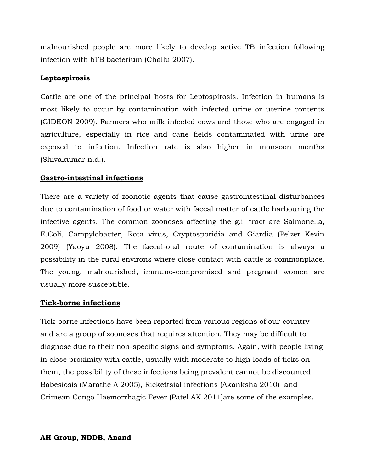malnourished people are more likely to develop active TB infection following infection with bTB bacterium (Challu 2007).

## **Leptospirosis**

Cattle are one of the principal hosts for Leptospirosis. Infection in humans is most likely to occur by contamination with infected urine or uterine contents (GIDEON 2009). Farmers who milk infected cows and those who are engaged in agriculture, especially in rice and cane fields contaminated with urine are exposed to infection. Infection rate is also higher in monsoon months (Shivakumar n.d.).

# **Gastro-intestinal infections**

There are a variety of zoonotic agents that cause gastrointestinal disturbances due to contamination of food or water with faecal matter of cattle harbouring the infective agents. The common zoonoses affecting the g.i. tract are Salmonella, E.Coli, Campylobacter, Rota virus, Cryptosporidia and Giardia (Pelzer Kevin 2009) (Yaoyu 2008). The faecal-oral route of contamination is always a possibility in the rural environs where close contact with cattle is commonplace. The young, malnourished, immuno-compromised and pregnant women are usually more susceptible.

## **Tick-borne infections**

Tick-borne infections have been reported from various regions of our country and are a group of zoonoses that requires attention. They may be difficult to diagnose due to their non-specific signs and symptoms. Again, with people living in close proximity with cattle, usually with moderate to high loads of ticks on them, the possibility of these infections being prevalent cannot be discounted. Babesiosis (Marathe A 2005), Rickettsial infections (Akanksha 2010) and Crimean Congo Haemorrhagic Fever (Patel AK 2011)are some of the examples.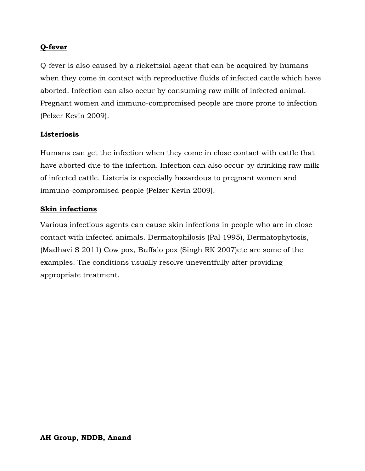# **Q-fever**

Q-fever is also caused by a rickettsial agent that can be acquired by humans when they come in contact with reproductive fluids of infected cattle which have aborted. Infection can also occur by consuming raw milk of infected animal. Pregnant women and immuno-compromised people are more prone to infection (Pelzer Kevin 2009).

# **Listeriosis**

Humans can get the infection when they come in close contact with cattle that have aborted due to the infection. Infection can also occur by drinking raw milk of infected cattle. Listeria is especially hazardous to pregnant women and immuno-compromised people (Pelzer Kevin 2009).

## **Skin infections**

Various infectious agents can cause skin infections in people who are in close contact with infected animals. Dermatophilosis (Pal 1995), Dermatophytosis, (Madhavi S 2011) Cow pox, Buffalo pox (Singh RK 2007)etc are some of the examples. The conditions usually resolve uneventfully after providing appropriate treatment.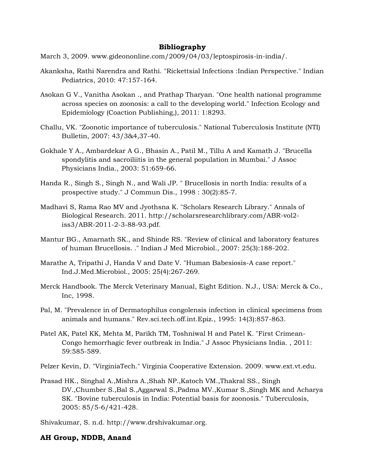#### **Bibliography**

March 3, 2009. www.gideononline.com/2009/04/03/leptospirosis-in-india/.

- Akanksha, Rathi Narendra and Rathi. "Rickettsial Infections :Indian Perspective." Indian Pediatrics, 2010: 47:157-164.
- Asokan G V., Vanitha Asokan ., and Prathap Tharyan. "One health national programme across species on zoonosis: a call to the developing world." Infection Ecology and Epidemiology (Coaction Publishing,), 2011: 1:8293.
- Challu, VK. "Zoonotic importance of tuberculosis." National Tuberculosis Institute (NTI) Bulletin, 2007: 43/3&4,37-40.
- Gokhale Y A., Ambardekar A G., Bhasin A., Patil M., Tillu A and Kamath J. "Brucella spondylitis and sacroiliitis in the general population in Mumbai." J Assoc Physicians India., 2003: 51:659-66.
- Handa R., Singh S., Singh N., and Wali JP. " Brucellosis in north India: results of a prospective study." J Commun Dis., 1998 : 30(2):85-7.
- Madhavi S, Rama Rao MV and Jyothsna K. "Scholars Research Library." Annals of Biological Research. 2011. http://scholarsresearchlibrary.com/ABR-vol2 iss3/ABR-2011-2-3-88-93.pdf.
- Mantur BG., Amarnath SK., and Shinde RS. "Review of clinical and laboratory features of human Brucellosis. ." Indian J Med Microbiol., 2007: 25(3):188-202.
- Marathe A, Tripathi J, Handa V and Date V. "Human Babesiosis-A case report." Ind.J.Med.Microbiol., 2005: 25(4):267-269.
- Merck Handbook. The Merck Veterinary Manual, Eight Edition. N.J., USA: Merck & Co., Inc, 1998.
- Pal, M. "Prevalence in of Dermatophilus congolensis infection in clinical specimens from animals and humans." Rev.sci.tech.off.int.Epiz., 1995: 14(3):857-863.
- Patel AK, Patel KK, Mehta M, Parikh TM, Toshniwal H and Patel K. "First Crimean-Congo hemorrhagic fever outbreak in India." J Assoc Physicians India. , 2011: 59:585-589.

Pelzer Kevin, D. "VirginiaTech." Virginia Cooperative Extension. 2009. www.ext.vt.edu.

- Prasad HK., Singhal A.,Mishra A.,Shah NP.,Katoch VM.,Thakral SS., Singh DV.,Chumber S.,Bal S.,Aggarwal S.,Padma MV.,Kumar S.,Singh MK and Acharya SK. "Bovine tuberculosis in India: Potential basis for zoonosis." Tuberculosis, 2005: 85/5-6/421-428.
- Shivakumar, S. n.d. http://www.drshivakumar.org.

### **AH Group, NDDB, Anand**